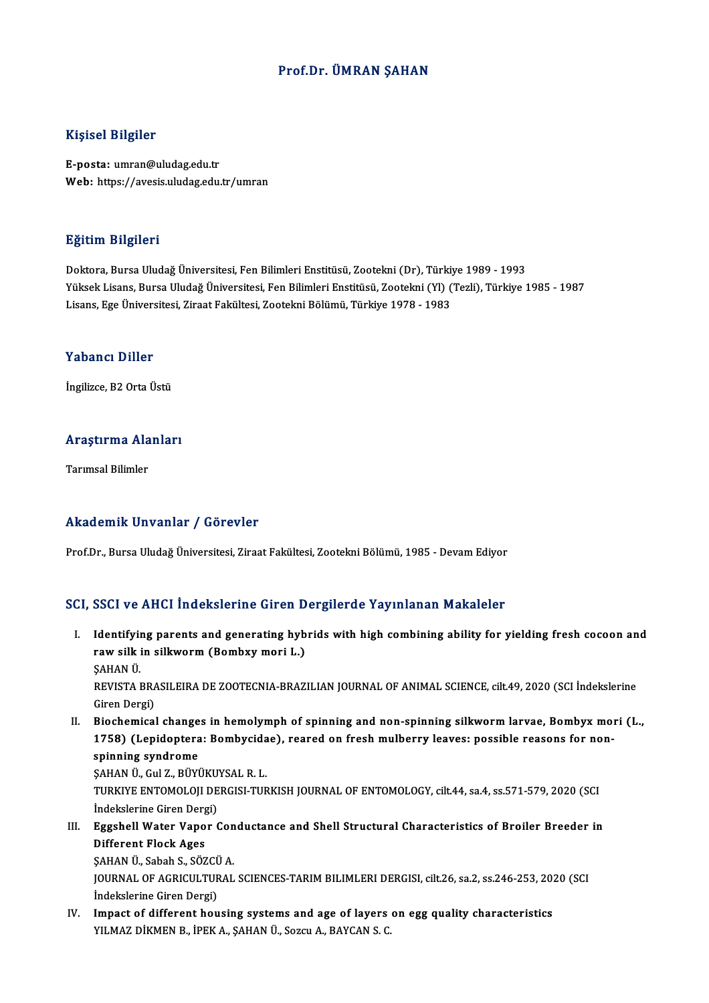### Prof.Dr. ÜMRAN ŞAHAN

#### Kişisel Bilgiler

E-posta: umran@uludag.edu.tr Web: https://avesis.uludag.edu.tr/umran

#### Eğitim Bilgileri

Doktora,BursaUludağÜniversitesi,FenBilimleriEnstitüsü,Zootekni (Dr),Türkiye 1989 -1993 YüksekLisans,BursaUludağÜniversitesi,FenBilimleriEnstitüsü,Zootekni (Yl) (Tezli),Türkiye 1985 -1987 Lisans, Ege Üniversitesi, Ziraat Fakültesi, Zootekni Bölümü, Türkiye 1978 - 1983

#### Yabancı Diller

İngilizce, B2 Orta Üstü

## ingilizce, B2 orta ostu<br>Araştırma Alanları <mark>Araştırma Ala</mark><br>Tarımsal Bilimler

# Akademik Unvanlar / Görevler

Prof.Dr., Bursa Uludağ Üniversitesi, Ziraat Fakültesi, Zootekni Bölümü, 1985 - Devam Ediyor

### SCI, SSCI ve AHCI İndekslerine Giren Dergilerde Yayınlanan Makaleler

CI, SSCI ve AHCI İndekslerine Giren Dergilerde Yayınlanan Makaleler<br>I. Maentifying parents and generating hybrids with high combining ability for yielding fresh cocoon and rawsilk in silkworm (Bombard II and B<br>Identifying parents and generating hyb<br>raw silk in silkworm (Bombxy mori L.) Identifyii<br>raw silk i<br>ŞAHAN Ü.<br>PEVISTA I raw silk in silkworm (Bombxy mori L.)<br>ŞAHAN Ü.<br>REVISTA BRASILEIRA DE ZOOTECNIA-BRAZILIAN JOURNAL OF ANIMAL SCIENCE, cilt.49, 2020 (SCI İndekslerine<br>Ciron Dargi)

ŞAHAN Ü.<br>REVISTA BRA<br>Giren Dergi)<br>Pioshemisel REVISTA BRASILEIRA DE ZOOTECNIA-BRAZILIAN JOURNAL OF ANIMAL SCIENCE, cilt.49, 2020 (SCI Indekslerine<br>Giren Dergi)<br>II. Biochemical changes in hemolymph of spinning and non-spinning silkworm larvae, Bombyx mori (L.,<br>1759) (L

Giren Dergi)<br>Biochemical changes in hemolymph of spinning and non-spinning silkworm larvae, Bombyx mo<br>1758) (Lepidoptera: Bombycidae), reared on fresh mulberry leaves: possible reasons for non-<br>spinning syndrome **Biochemical change<br>1758) (Lepidoptera<br>spinning syndrome**<br>sayan ü cul z Püvi 1758) (Lepidoptera: Bombycida<br>spinning syndrome<br>ŞAHAN Ü., Gul Z., BÜYÜKUYSAL R. L.<br>TURKIYE ENTOMOLOU DERCISI TUR

spinning syndrome<br>ŞAHAN Ü., Gul Z., BÜYÜKUYSAL R. L.<br>TURKIYE ENTOMOLOJI DERGISI-TURKISH JOURNAL OF ENTOMOLOGY, cilt.44, sa.4, ss.571-579, 2020 (SCI<br>İndekslerine Giren Dergi) ŞAHAN Ü., Gul Z., BÜYÜKU<br>TURKIYE ENTOMOLOJI DE<br>İndekslerine Giren Dergi)<br>Fazabell Water Vener ( TURKIYE ENTOMOLOJI DERGISI-TURKISH JOURNAL OF ENTOMOLOGY, cilt.44, sa.4, ss.571-579, 2020 (SCI<br>III. Eggshell Water Vapor Conductance and Shell Structural Characteristics of Broiler Breeder in<br>Different Fleek Ages

İndekslerine Giren Derg<br>Eggshell Water Vapo<br>Different Flock Ages Eggshell Water Vapor Con<br>Different Flock Ages<br>ŞAHAN Ü., Sabah S., SÖZCÜ A.<br>JOUPNAL OF ACPICULTURAL

Different Flock Ages<br>ŞAHAN Ü., Sabah S., SÖZCÜ A.<br>JOURNAL OF AGRICULTURAL SCIENCES-TARIM BILIMLERI DERGISI, cilt.26, sa.2, ss.246-253, 2020 (SCI<br>İndekslerine Ciren Dergi) ŞAHAN Ü., Sabah S., SÖZCÜ<br>JOURNAL OF AGRICULTUF<br>İndekslerine Giren Dergi)<br>Imnast of diffenant bou IOURNAL OF AGRICULTURAL SCIENCES-TARIM BILIMLERI DERGISI, cilt.26, sa.2, ss.246-253, 20.<br>
Indekslerine Giren Dergi)<br>
IV. Impact of different housing systems and age of layers on egg quality characteristics<br>
VILMAZ DIKMEN B

Indekslerine Giren Dergi)<br>IV. Impact of different housing systems and age of layers on egg quality characteristics<br>YILMAZ DİKMEN B., İPEK A., ŞAHAN Ü., Sozcu A., BAYCAN S. C.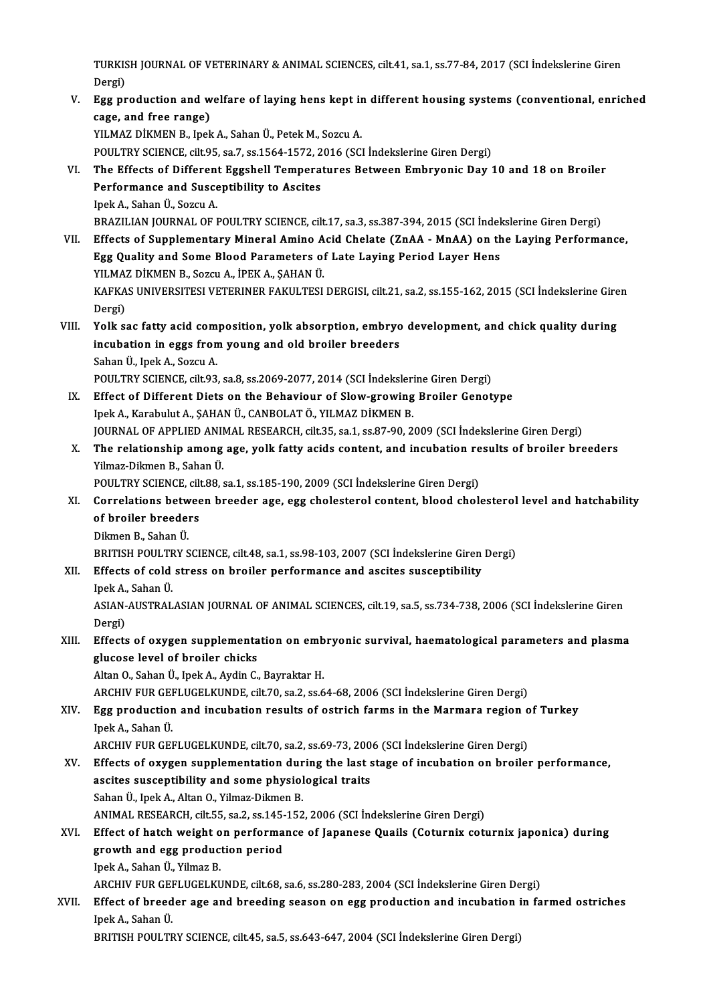TURKISH JOURNAL OF VETERINARY & ANIMAL SCIENCES, cilt.41, sa.1, ss.77-84, 2017 (SCI İndekslerine Giren<br>Persi) TURKIS<br>Dergi)<br>Ess rr TURKISH JOURNAL OF VETERINARY & ANIMAL SCIENCES, cilt.41, sa.1, ss.77-84, 2017 (SCI İndekslerine Giren<br>Dergi)<br>V. Egg production and welfare of laying hens kept in different housing systems (conventional, enriched<br>2009. and

Dergi)<br>V. Egg production and welfare of laying hens kept in different housing systems (conventional, enriched<br>cage, and free range)

YILMAZ DİKMEN B., Ipek A., Sahan Ü., Petek M., Sozcu A.

POULTRY SCIENCE, cilt.95, sa.7, ss.1564-1572, 2016 (SCI İndekslerine Giren Dergi)

- YILMAZ DİKMEN B., Ipek A., Sahan Ü., Petek M., Sozcu A.<br>POULTRY SCIENCE, cilt.95, sa.7, ss.1564-1572, 2016 (SCI İndekslerine Giren Dergi)<br>VI. The Effects of Different Eggshell Temperatures Between Embryonic Day 10 and 18 o POULTRY SCIENCE, cilt.95, sa.7, ss.1564-1572, 2<br>The Effects of Different Eggshell Tempera<br>Performance and Susceptibility to Ascites<br>Insk A. Saban Ü. Seggu A. The Effects of Different<br>Performance and Susce<br>Ipek A., Sahan Ü., Sozcu A.<br>PPAZU JAN JOUPMAL OF L Performance and Susceptibility to Ascites<br>Ipek A., Sahan Ü., Sozcu A.<br>BRAZILIAN JOURNAL OF POULTRY SCIENCE, cilt.17, sa.3, ss.387-394, 2015 (SCI İndekslerine Giren Dergi)
- Ipek A., Sahan Ü., Sozcu A.<br>BRAZILIAN JOURNAL OF POULTRY SCIENCE, cilt.17, sa.3, ss.387-394, 2015 (SCI İndekslerine Giren Dergi)<br>VII. Effects of Supplementary Mineral Amino Acid Chelate (ZnAA MnAA) on the Laying Performa BRAZILIAN JOURNAL OF POULTRY SCIENCE, cilt.17, sa.3, ss.387-394, 2015 (SCI İndel<br>Effects of Supplementary Mineral Amino Acid Chelate (ZnAA - MnAA) on th<br>Egg Quality and Some Blood Parameters of Late Laying Period Layer Hen Effects of Supplementary Mineral Amino A<br>Egg Quality and Some Blood Parameters of<br>YILMAZ DİKMEN B., Sozcu A., İPEK A., ŞAHAN Ü.<br>KAEKAS UNIVERSITESI VETERINER FAKULTESI Egg Quality and Some Blood Parameters of Late Laying Period Layer Hens<br>YILMAZ DİKMEN B., Sozcu A., İPEK A., ŞAHAN Ü.<br>KAFKAS UNIVERSITESI VETERINER FAKULTESI DERGISI, cilt.21, sa.2, ss.155-162, 2015 (SCI İndekslerine Giren<br> YILMA'<br>KAFKA<br>Dergi)<br><sup>Volko</sup>'
- KAFKAS UNIVERSITESI VETERINER FAKULTESI DERGISI, cilt.21, sa.2, ss.155-162, 2015 (SCI İndekslerine Gire<br>Dergi)<br>VIII. Yolk sac fatty acid composition, yolk absorption, embryo development, and chick quality during<br>incubation Dergi)<br>Yolk sac fatty acid composition, yolk absorption, embryo<br>incubation in eggs from young and old broiler breeders<br>Saban <sup>(I</sup>, Inak A, Sagau A **Yolk sac fatty acid com<br>incubation in eggs fron<br>Sahan Ü., Ipek A., Sozcu A.<br>POULTPY SCIENCE silt 03** Sahan Ü., Ipek A., Sozcu A.<br>POULTRY SCIENCE, cilt.93, sa.8, ss.2069-2077, 2014 (SCI İndekslerine Giren Dergi)
	- Sahan Ü., Ipek A., Sozcu A.<br>POULTRY SCIENCE, cilt.93, sa.8, ss.2069-2077, 2014 (SCI Indekslerine Giren Dergi)<br>IX. Effect of Different Diets on the Behaviour of Slow-growing Broiler Genotype POULTRY SCIENCE, cilt.93, sa.8, ss.2069-2077, 2014 (SCI İndeksleri<br>Effect of Different Diets on the Behaviour of Slow-growing<br>Ipek A., Karabulut A., ŞAHAN Ü., CANBOLAT Ö., YILMAZ DİKMEN B.<br>IQUPNAL OF APPLIED ANIMAL PESEARC Ipek A., Karabulut A., ŞAHAN Ü., CANBOLAT Ö., YILMAZ DİKMEN B.<br>JOURNAL OF APPLIED ANIMAL RESEARCH, cilt.35, sa.1, ss.87-90, 2009 (SCI İndekslerine Giren Dergi)
	- Ipek A., Karabulut A., ŞAHAN Ü., CANBOLAT Ö., YILMAZ DİKMEN B.<br>JOURNAL OF APPLIED ANIMAL RESEARCH, cilt.35, sa.1, ss.87-90, 2009 (SCI İndekslerine Giren Dergi)<br>X. The relationship among age, yolk fatty acids content, a **JOURNAL OF APPLIED ANIT<br>The relationship among<br>Yilmaz-Dikmen B., Sahan Ü.<br>POUL TPV SCIENCE sil: 99 .** The relationship among age, yolk fatty acids content, and incubation re<br>Pilmaz-Dikmen B., Sahan Ü.<br>POULTRY SCIENCE, cilt.88, sa.1, ss.185-190, 2009 (SCI İndekslerine Giren Dergi)<br>Correlations between breeder age, egg shele
	- Yilmaz-Dikmen B., Sahan Ü.<br>POULTRY SCIENCE, cilt.88, sa.1, ss.185-190, 2009 (SCI İndekslerine Giren Dergi)<br>XI. Correlations between breeder age, egg cholesterol content, blood cholesterol level and hatchability<br>of brei POULTRY SCIENCE, cil<mark>t</mark><br>Correlations betwee<br>of broiler breeders<br>Dilmon B. Saban <sup>(I</sup> **Correlations betw<br>of broiler breeder<br>Dikmen B., Sahan Ü.<br>ppirisu polu rpy s** 
		-

of broiler breeders<br>Dikmen B., Sahan Ü.<br>BRITISH POULTRY SCIENCE, cilt.48, sa.1, ss.98-103, 2007 (SCI İndekslerine Giren Dergi)<br>Effects of sold stress on broiler performanes and assites sussentibility

- Dikmen B., Sahan Ü.<br>BRITISH POULTRY SCIENCE, cilt.48, sa.1, ss.98-103, 2007 (SCI İndekslerine Giren<br>XII. Effects of cold stress on broiler performance and ascites susceptibility<br>Inek A. Seben Ü. **BRITISH POULTE<br>Effects of cold<br>Ipek A., Sahan Ü.**<br>ASIAN AUSTRAL
	-

Effects of cold stress on broiler performance and ascites susceptibility<br>Ipek A., Sahan Ü.<br>ASIAN-AUSTRALASIAN JOURNAL OF ANIMAL SCIENCES, cilt.19, sa.5, ss.734-738, 2006 (SCI İndekslerine Giren<br>Dergi) Ipek A.<br>ASIAN-<br>Dergi)<br>Effects ASIAN-AUSTRALASIAN JOURNAL OF ANIMAL SCIENCES, cilt.19, sa.5, ss.734-738, 2006 (SCI İndekslerine Giren<br>Dergi)<br>XIII. Effects of oxygen supplementation on embryonic survival, haematological parameters and plasma<br>clusese leve

### Dergi)<br>Effects of oxygen supplementa<br>glucose level of broiler chicks<br>Altan O. Saban <sup>it</sup>, Inek A. Aydin G Effects of oxygen supplementation on emb<br>glucose level of broiler chicks<br>Altan O., Sahan Ü., Ipek A., Aydin C., Bayraktar H.<br>ARCHIV FUR CEELUCELKUNDE silt 70, 22,2 36 6 glucose level of broiler chicks<br>Altan O., Sahan Ü., Ipek A., Aydin C., Bayraktar H.<br>ARCHIV FUR GEFLUGELKUNDE, cilt.70, sa.2, ss.64-68, 2006 (SCI İndekslerine Giren Dergi)

### Altan O., Sahan Ü., Ipek A., Aydin C., Bayraktar H.<br>ARCHIV FUR GEFLUGELKUNDE, cilt.70, sa.2, ss.64-68, 2006 (SCI Indekslerine Giren Dergi)<br>XIV. Egg production and incubation results of ostrich farms in the Marmara region o **ARCHIV FUR GEI<br>Egg production<br>Ipek A., Sahan Ü.**<br>APCHIV FUP CEI Egg production and incubation results of ostrich farms in the Marmara region of<br>Ipek A., Sahan Ü.<br>ARCHIV FUR GEFLUGELKUNDE, cilt.70, sa.2, ss.69-73, 2006 (SCI İndekslerine Giren Dergi)<br>Effects of oxugen sunnlomentation dur

### lpek A., Sahan Ü.<br>ARCHIV FUR GEFLUGELKUNDE, cilt.70, sa.2, ss.69-73, 2006 (SCI İndekslerine Giren Dergi)<br>XV. Effects of oxygen supplementation during the last stage of incubation on broiler performance,<br>assites sussent ARCHIV FUR GEFLUGELKUNDE, cilt.70, sa.2, ss.69-73, 200<br>Effects of oxygen supplementation during the last s<br>ascites susceptibility and some physiological traits<br>Saban <sup>()</sup> Jpek A. Altan Q. Vilmar Dilman P Effects of oxygen supplementation durn<br>ascites susceptibility and some physiol<br>Sahan Ü., Ipek A., Altan O., Yilmaz-Dikmen B.<br>ANIMAL PESEARCH silt EE se 2 se 14E 152 ascites susceptibility and some physiological traits<br>Sahan Ü., Ipek A., Altan O., Yilmaz-Dikmen B.<br>ANIMAL RESEARCH, cilt.55, sa.2, ss.145-152, 2006 (SCI İndekslerine Giren Dergi)<br>Effect of bateb weight on nerformanes of Ja Sahan Ü., Ipek A., Altan O., Yilmaz-Dikmen B.<br>ANIMAL RESEARCH, cilt.55, sa.2, ss.145-152, 2006 (SCI İndekslerine Giren Dergi)<br>XVI. Effect of hatch weight on performance of Japanese Quails (Coturnix coturnix japonica) durin

### ANIMAL RESEARCH, cilt.55, sa.2, ss.145-<br>Effect of hatch weight on performa<br>growth and egg production period<br>Inek A. Seban <sup>it</sup>, Vilmer B. Effect of hatch weight of<br>growth and egg product<br>Ipek A., Sahan Ü., Yilmaz B.<br>ABCUIV EUP CEELUCELVI growth and egg production period<br>Ipek A., Sahan Ü., Yilmaz B.<br>ARCHIV FUR GEFLUGELKUNDE, cilt.68, sa.6, ss.280-283, 2004 (SCI İndekslerine Giren Dergi)

### Ipek A., Sahan Ü., Yilmaz B.<br>ARCHIV FUR GEFLUGELKUNDE, cilt.68, sa.6, ss.280-283, 2004 (SCI İndekslerine Giren Dergi)<br>XVII. Effect of breeder age and breeding season on egg production and incubation in farmed ostriches ARCHIV FUR GEI<br><mark>Effect of breed</mark><br>Ipek A., Sahan Ü.<br>PRITISH ROULTE Ipek A., Sahan Ü.<br>BRITISH POULTRY SCIENCE, cilt.45, sa.5, ss.643-647, 2004 (SCI İndekslerine Giren Dergi)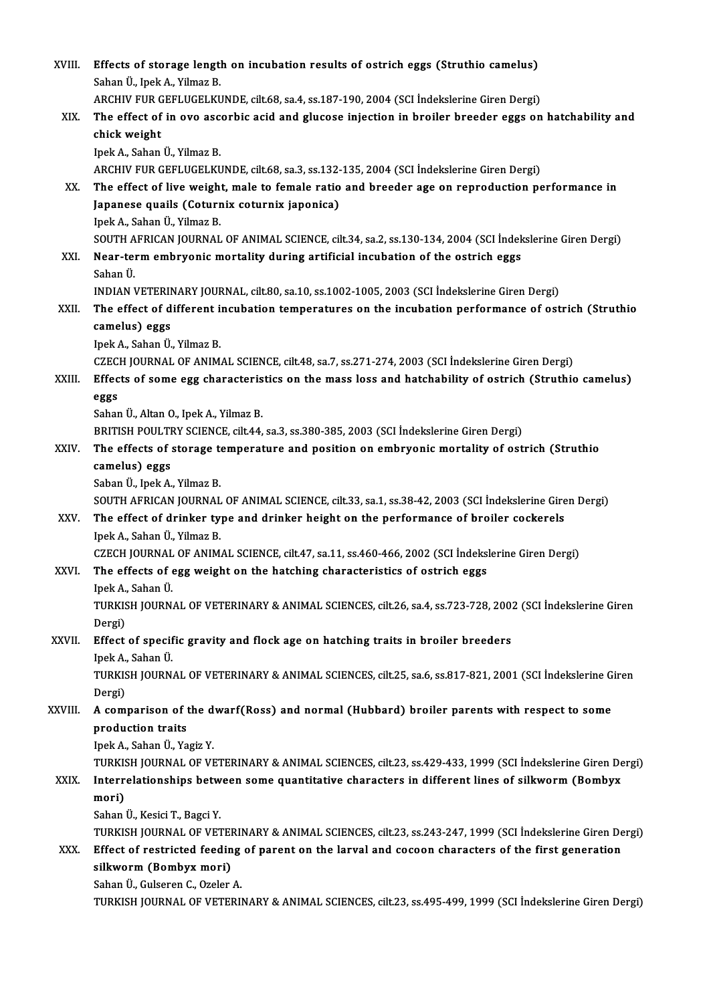| XVIII.  | Effects of storage length on incubation results of ostrich eggs (Struthio camelus)<br>Sahan Ü., Ipek A., Yilmaz B.                                                                                                                        |
|---------|-------------------------------------------------------------------------------------------------------------------------------------------------------------------------------------------------------------------------------------------|
| XIX.    | ARCHIV FUR GEFLUGELKUNDE, cilt.68, sa.4, ss.187-190, 2004 (SCI Indekslerine Giren Dergi)<br>The effect of in ovo ascorbic acid and glucose injection in broiler breeder eggs on hatchability and                                          |
|         | chick weight<br>Ipek A., Sahan Ü., Yilmaz B.                                                                                                                                                                                              |
|         | ARCHIV FUR GEFLUGELKUNDE, cilt.68, sa.3, ss.132-135, 2004 (SCI İndekslerine Giren Dergi)                                                                                                                                                  |
| XX.     | The effect of live weight, male to female ratio and breeder age on reproduction performance in<br>Japanese quails (Coturnix coturnix japonica)<br>Ipek A., Sahan Ü., Yilmaz B.                                                            |
|         | SOUTH AFRICAN JOURNAL OF ANIMAL SCIENCE, cilt.34, sa.2, ss.130-134, 2004 (SCI İndekslerine Giren Dergi)                                                                                                                                   |
| XXI.    | Near-term embryonic mortality during artificial incubation of the ostrich eggs<br>Sahan Ü.                                                                                                                                                |
|         | INDIAN VETERINARY JOURNAL, cilt.80, sa.10, ss.1002-1005, 2003 (SCI İndekslerine Giren Dergi)                                                                                                                                              |
| XXII.   | The effect of different incubation temperatures on the incubation performance of ostrich (Struthio<br>camelus) eggs                                                                                                                       |
|         | Ipek A., Sahan Ü., Yilmaz B.<br>CZECH JOURNAL OF ANIMAL SCIENCE, cilt.48, sa.7, ss.271-274, 2003 (SCI İndekslerine Giren Dergi)                                                                                                           |
| XXIII.  | Effects of some egg characteristics on the mass loss and hatchability of ostrich (Struthio camelus)<br>eggs                                                                                                                               |
|         | Sahan Ü., Altan O., Ipek A., Yilmaz B.                                                                                                                                                                                                    |
|         | BRITISH POULTRY SCIENCE, cilt.44, sa.3, ss.380-385, 2003 (SCI Indekslerine Giren Dergi)                                                                                                                                                   |
| XXIV.   | The effects of storage temperature and position on embryonic mortality of ostrich (Struthio<br>camelus) eggs                                                                                                                              |
|         | Saban Ü., Ipek A., Yilmaz B.                                                                                                                                                                                                              |
| XXV     | SOUTH AFRICAN JOURNAL OF ANIMAL SCIENCE, cilt.33, sa.1, ss.38-42, 2003 (SCI İndekslerine Giren Dergi)<br>The effect of drinker type and drinker height on the performance of broiler cockerels<br>Ipek A., Sahan Ü., Yilmaz B.            |
|         | CZECH JOURNAL OF ANIMAL SCIENCE, cilt.47, sa.11, ss.460-466, 2002 (SCI İndekslerine Giren Dergi)                                                                                                                                          |
| XXVI.   | The effects of egg weight on the hatching characteristics of ostrich eggs<br>Ipek A., Sahan Ü.                                                                                                                                            |
|         | TURKISH JOURNAL OF VETERINARY & ANIMAL SCIENCES, cilt.26, sa.4, ss.723-728, 2002 (SCI İndekslerine Giren<br>Dergi)                                                                                                                        |
| XXVII.  | Effect of specific gravity and flock age on hatching traits in broiler breeders                                                                                                                                                           |
|         | Ipek A., Sahan Ü.<br>TURKISH JOURNAL OF VETERINARY & ANIMAL SCIENCES, cilt.25, sa.6, ss.817-821, 2001 (SCI İndekslerine Giren<br>Dergi)                                                                                                   |
| XXVIII. | A comparison of the dwarf(Ross) and normal (Hubbard) broiler parents with respect to some                                                                                                                                                 |
|         | production traits                                                                                                                                                                                                                         |
|         | Ipek A., Sahan Ü., Yagiz Y.                                                                                                                                                                                                               |
|         | TURKISH JOURNAL OF VETERINARY & ANIMAL SCIENCES, cilt.23, ss.429-433, 1999 (SCI İndekslerine Giren Dergi)                                                                                                                                 |
| XXIX.   | Interrelationships between some quantitative characters in different lines of silkworm (Bombyx<br>mori)                                                                                                                                   |
|         | Sahan Ü., Kesici T., Bagci Y.                                                                                                                                                                                                             |
| XXX.    | TURKISH JOURNAL OF VETERINARY & ANIMAL SCIENCES, cilt.23, ss.243-247, 1999 (SCI İndekslerine Giren Dergi)<br>Effect of restricted feeding of parent on the larval and cocoon characters of the first generation<br>silkworm (Bombyx mori) |
|         | Sahan Ü., Gulseren C., Ozeler A.                                                                                                                                                                                                          |
|         | TURKISH JOURNAL OF VETERINARY & ANIMAL SCIENCES, cilt.23, ss.495-499, 1999 (SCI İndekslerine Giren Dergi)                                                                                                                                 |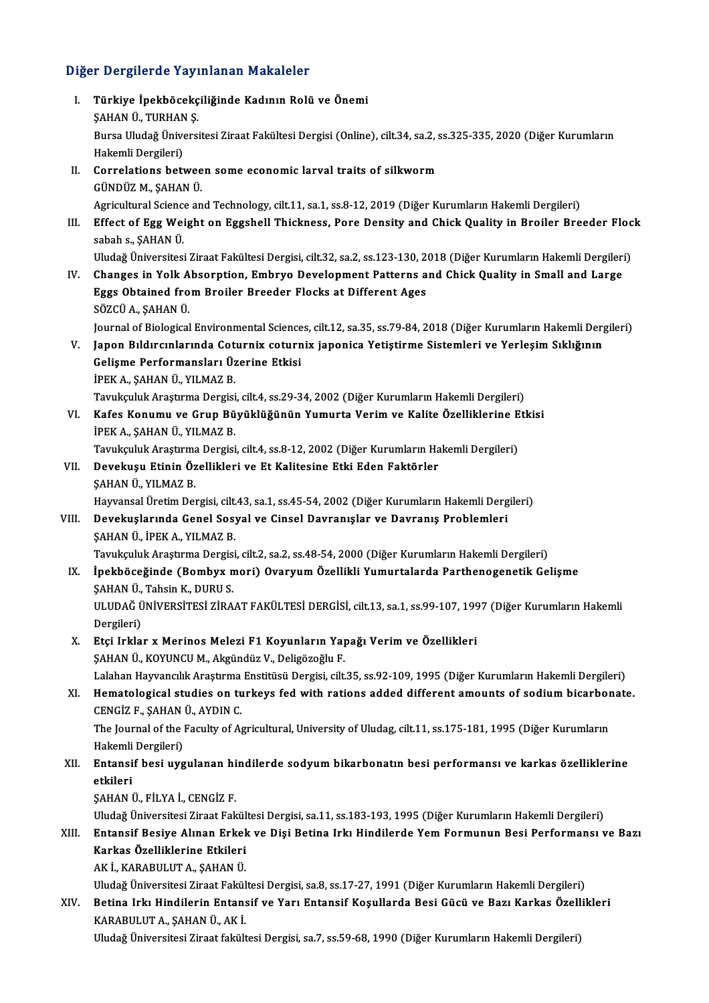### Diğer Dergilerde Yayınlanan Makaleler

Iğer Dergilerde Yayınlanan Makaleler<br>I. Türkiye İpekböcekçiliğinde Kadının Rolü ve Önemi<br>SAHAN Ü. TURHAN S r Bergherde ray<br>Türkiye İpekböcekç<br>ŞAHAN Ü., TURHAN Ş.<br>Bursa Hudağ Üniversi Türkiye İpekböcekçiliğinde Kadının Rolü ve Önemi<br>ŞAHAN Ü., TURHAN Ş.<br>Bursa Uludağ Üniversitesi Ziraat Fakültesi Dergisi (Online), cilt.34, sa.2, ss.325-335, 2020 (Diğer Kurumların<br>Hakamli Dargilari) ŞAHAN Ü., TURHAN<br>Bursa Uludağ Ünive<br>Hakemli Dergileri)<br>Correlations betr Bursa Uludağ Üniversitesi Ziraat Fakültesi Dergisi (Online), cilt.34, sa.2, s<br>Hakemli Dergileri)<br>II. Correlations between some economic larval traits of silkworm<br>CÜNDÜZ M. SAHAN Ü Hakemli Dergileri)<br>II. Correlations between some economic larval traits of silkworm<br>GÜNDÜZ M., ŞAHAN Ü. Correlations between some economic larval traits of silkworm<br>GÜNDÜZ M., ŞAHAN Ü.<br>Agricultural Science and Technology, cilt.11, sa.1, ss.8-12, 2019 (Diğer Kurumların Hakemli Dergileri)<br>Effect of Egg Weight on Eggebell Thiel GÜNDÜZ M., ŞAHAN Ü.<br>Agricultural Science and Technology, cilt.11, sa.1, ss.8-12, 2019 (Diğer Kurumların Hakemli Dergileri)<br>III. Effect of Egg Weight on Eggshell Thickness, Pore Density and Chick Quality in Broiler Breeder Agricultural Science<br>Effect of Egg Wei<br>sabah s., ŞAHAN Ü.<br>Uludeğ Üniversitesi Effect of Egg Weight on Eggshell Thickness, Pore Density and Chick Quality in Broiler Breeder Floc<br>sabah s., ŞAHAN Ü.<br>Uludağ Üniversitesi Ziraat Fakültesi Dergisi, cilt.32, sa.2, ss.123-130, 2018 (Diğer Kurumların Hakemli sabah s., ŞAHAN Ü.<br>11- Uludağ Üniversitesi Ziraat Fakültesi Dergisi, cilt.32, sa.2, ss.123-130, 2018 (Diğer Kurumların Hakemli Dergileri)<br>12. Changes in Yolk Absorption, Embryo Development Patterns and Chick Quality in Uludağ Üniversitesi Ziraat Fakültesi Dergisi, cilt.32, sa.2, ss.123-130, 2<br>Changes in Yolk Absorption, Embryo Development Patterns a<br>Eggs Obtained from Broiler Breeder Flocks at Different Ages<br>SÖZCÜ A. SAHAN Ü Changes in Yolk A<br>Eggs Obtained fro<br>SÖZCÜ A., ŞAHAN Ü.<br>Journal of Biological SÖZCÜ A., ŞAHAN Ü.<br>Journal of Biological Environmental Sciences, cilt.12, sa.35, ss.79-84, 2018 (Diğer Kurumların Hakemli Dergileri) SÖZCÜ A., ŞAHAN Ü.<br>Journal of Biological Environmental Sciences, cilt.12, sa.35, ss.79-84, 2018 (Diğer Kurumların Hakemli Derg<br>V. – Japon Bıldırcınlarında Coturnix coturnix japonica Yetiştirme Sistemleri ve Yerleşim Sıklığ Journal of Biological Environmental Science<br>Japon Bıldırcınlarında Coturnix coturn<br>Gelişme Performansları Üzerine Etkisi<br>İPEK A. SAHAN Ü. VILMAZ P Japon Bıldırcınlarında Cot<br>Gelişme Performansları Üz<br>İPEK A., ŞAHAN Ü., YILMAZ B.<br>Tamlanluk Arastuma Dersisi Gelişme Performansları Üzerine Etkisi<br>İPEK A., ŞAHAN Ü., YILMAZ B.<br>Tavukçuluk Araştırma Dergisi, cilt.4, ss.29-34, 2002 (Diğer Kurumların Hakemli Dergileri)<br>Kafas Konumu ve Crun Büyüklüğünün Yumunta Varim ve Kalita Özellik İPEK A., ŞAHAN Ü., YILMAZ B.<br>Tavukçuluk Araştırma Dergisi, cilt.4, ss.29-34, 2002 (Diğer Kurumların Hakemli Dergileri)<br>VI. Kafes Konumu ve Grup Büyüklüğünün Yumurta Verim ve Kalite Özelliklerine Etkisi<br>İPEK A. SAHAN Ü. YU Tavukçuluk Araştırma Dergisi<br>Kafes Konumu ve Grup Bü<br>İPEK A., ŞAHAN Ü., YILMAZ B.<br>Tavukayluk Arastuma Dergisi Kafes Konumu ve Grup Büyüklüğünün Yumurta Verim ve Kalite Özelliklerine E<br>İPEK A., ŞAHAN Ü., YILMAZ B.<br>Tavukçuluk Araştırma Dergisi, cilt.4, ss.8-12, 2002 (Diğer Kurumların Hakemli Dergileri)<br>Develtuev Etinin Özellikleri v İPEK A., ŞAHAN Ü., YILMAZ B.<br>Tavukçuluk Araştırma Dergisi, cilt.4, ss.8-12, 2002 (Diğer Kurumların Ha<br>VII. Devekuşu Etinin Özellikleri ve Et Kalitesine Etki Eden Faktörler<br>ŞAHAN Ü., YILMAZ B. Tavukçuluk Araştırma<br>Devekuşu Etinin Öz<br>ŞAHAN Ü., YILMAZ B.<br>Hayrangal Üretim Da Devekuşu Etinin Özellikleri ve Et Kalitesine Etki Eden Faktörler<br>ŞAHAN Ü., YILMAZ B.<br>Hayvansal Üretim Dergisi, cilt.43, sa.1, ss.45-54, 2002 (Diğer Kurumların Hakemli Dergileri)<br>Devekualarında Canal Sasyal ve Cinaal Devran VIII. Devekuşlarında Genel Sosyal ve Cinsel Davranışlar ve Davranış Problemleri<br>ŞAHAN Ü., İPEK A., YILMAZ B. Hayvansal Üretim Dergisi, cilt.<br><mark>Devekuşlarında Genel Sos</mark><br>ŞAHAN Ü., İPEK A., YILMAZ B.<br>Tavukayluk Arastırma Dergisi Devekuşlarında Genel Sosyal ve Cinsel Davranışlar ve Davranış Problemleri<br>ŞAHAN Ü., İPEK A., YILMAZ B.<br>Tavukçuluk Araştırma Dergisi, cilt.2, sa.2, ss.48-54, 2000 (Diğer Kurumların Hakemli Dergileri)<br>İnekhöseğinde (Bombuy m IX. İpekböceğinde (Bombyx mori) Ovaryum Özellikli Yumurtalarda Parthenogenetik Gelişme<br>SAHAN Ü., Tahsin K., DURU S. Tavukçuluk Araştırma Dergis<br>İpekböceğinde (Bombyx n<br>ŞAHAN Ü., Tahsin K., DURU S.<br>ULUDAĞ ÜNİVERSİTESİ 71RA İpekböceğinde (Bombyx mori) Ovaryum Özellikli Yumurtalarda Parthenogenetik Gelişme<br>ŞAHAN Ü., Tahsin K., DURU S.<br>ULUDAĞ ÜNİVERSİTESİ ZİRAAT FAKÜLTESİ DERGİSİ, cilt.13, sa.1, ss.99-107, 1997 (Diğer Kurumların Hakemli<br>Persile ŞAHAN Ü.,<br>ULUDAĞ Ü<br>Dergileri)<br>Etçi Irkla ULUDAĞ ÜNİVERSİTESİ ZİRAAT FAKÜLTESİ DERGİSİ, cilt.13, sa.1, ss.99-107, 199<br>Dergileri)<br>X. Etçi Irklar x Merinos Melezi F1 Koyunların Yapağı Verim ve Özellikleri<br>SAHAN Ü. KOYUNCU M. Aksündüz V. Delizözeğlu E Dergileri)<br>X. Etçi Irklar x Merinos Melezi F1 Koyunların Yapağı Verim ve Özellikleri<br>ŞAHAN Ü., KOYUNCU M., Akgündüz V., Deligözoğlu F. Etçi Irklar x Merinos Melezi F1 Koyunların Yapağı Verim ve Özellikleri<br>ŞAHAN Ü., KOYUNCU M., Akgündüz V., Deligözoğlu F.<br>Lalahan Hayvancılık Araştırma Enstitüsü Dergisi, cilt.35, ss.92-109, 1995 (Diğer Kurumların Hakemli D SAHAN Ü., KOYUNCU M., Akgündüz V., Deligözoğlu F.<br>Lalahan Hayvancılık Araştırma Enstitüsü Dergisi, cilt.35, ss.92-109, 1995 (Diğer Kurumların Hakemli Dergileri)<br>XI. Hematological studies on turkeys fed with rations add Lalahan Hayvancılık Araştırma<br>Hematological studies on tu<br>CENGİZ F., ŞAHAN Ü., AYDIN C.<br>The Journal of the Fosulty of A XI. Hematological studies on turkeys fed with rations added different amounts of sodium bicarbonate.<br>CENGİZ F., ŞAHAN Ü., AYDIN C.<br>The Journal of the Faculty of Agricultural, University of Uludag, cilt.11, ss.175-181, 1995 CENGİZ F, ŞAHAN Ü, AYDIN C The Journal of the Faculty of Agricultural, University of Uludag, cilt.11, ss.175-181, 1995 (Diğer Kurumların<br>Hakemli Dergileri)<br>XII. Entansif besi uygulanan hindilerde sodyum bikarbonatın besi performansı ve karkas öz Hakeml<mark>i</mark><br>Entansi<br>etkileri Entansif besi uygulanan hi<br>etkileri<br>ŞAHAN Ü., FİLYA İ., CENGİZ F.<br>Uludeğ Üniversitesi Zirest Feli <mark>etkileri</mark><br>ŞAHAN Ü., FİLYA İ., CENGİZ F.<br>Uludağ Üniversitesi Ziraat Fakültesi Dergisi, sa.11, ss.183-193, 1995 (Diğer Kurumların Hakemli Dergileri)<br>Entançif Besive Alınan Erkek ve Dişi Betina Irkı Hindilerde Yam Fermunun B ŞAHAN Ü., FİLYA İ., CENGİZ F.<br>Uludağ Üniversitesi Ziraat Fakültesi Dergisi, sa.11, ss.183-193, 1995 (Diğer Kurumların Hakemli Dergileri)<br>XIII. Entansif Besiye Alınan Erkek ve Dişi Betina Irkı Hindilerde Yem Formunun Be Uludağ Üniversitesi Ziraat Fakül<br>Entansif Besiye Alınan Erkek<br>Karkas Özelliklerine Etkileri<br>AKİ KARAPULUTA SAHANÜ Entansif Besiye Alınan Erkel<br>Karkas Özelliklerine Etkileri<br>AK İ., KARABULUT A., ŞAHAN Ü.<br>Uludağ Üniversitesi Zirast Fakil Karkas Özelliklerine Etkileri<br>AK İ., KARABULUT A., ŞAHAN Ü.<br>Uludağ Üniversitesi Ziraat Fakültesi Dergisi, sa.8, ss.17-27, 1991 (Diğer Kurumların Hakemli Dergileri)<br>Petina Irkı Hindilerin Entangif ve Yarı Entangif Kosullard AK İ., KARABULUT A., ŞAHAN Ü.<br>Uludağ Üniversitesi Ziraat Fakültesi Dergisi, sa.8, ss.17-27, 1991 (Diğer Kurumların Hakemli Dergileri)<br>XIV. Betina Irkı Hindilerin Entansif ve Yarı Entansif Koşullarda Besi Gücü ve Bazı K Uludağ Üniversitesi Ziraat Fakül<br>Betina Irkı Hindilerin Entans<br>KARABULUT A., ŞAHAN Ü., AK İ.<br>Uludağ Üniversitesi Ziraat fakült Betina Irkı Hindilerin Entansif ve Yarı Entansif Koşullarda Besi Gücü ve Bazı Karkas Özell<br>KARABULUT A., ŞAHAN Ü., AK İ.<br>Uludağ Üniversitesi Ziraat fakültesi Dergisi, sa.7, ss.59-68, 1990 (Diğer Kurumların Hakemli Dergiler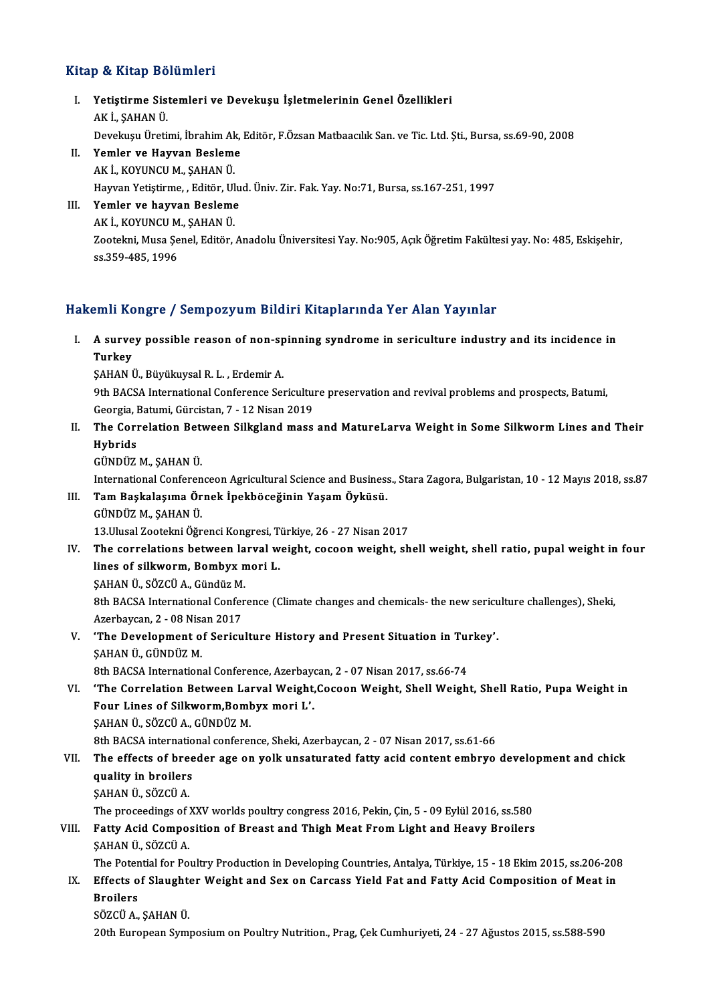#### Kitap & Kitap Bölümleri

- Itap & Kitap Bölümleri<br>I. Yetiştirme Sistemleri ve Devekuşu İşletmelerinin Genel Özellikleri<br>AKİ SAHAN Ü y & marp 20<br>Yetiştirme Sis<br>AK İ., ŞAHAN Ü.<br>Develueu Üneti Yetiştirme Sistemleri ve Devekuşu İşletmelerinin Genel Özellikleri<br>AK İ., ŞAHAN Ü.<br>Devekuşu Üretimi, İbrahim Ak, Editör, F.Özsan Matbaacılık San. ve Tic. Ltd. Şti., Bursa, ss.69-90, 2008<br>Yemler ve Hayyan Baslama AK İ., ŞAHAN Ü.<br>Devekuşu Üretimi, İbrahim Ak,<br>II. Yemler ve Hayvan Besleme<br>AK İ., KOYUNCU M., ŞAHAN Ü.
- Devekuşu Üretimi, İbrahim Ak<br>Yemler ve Hayvan Beslem<br>AK İ., KOYUNCU M., ŞAHAN Ü.<br>Hayvan Yatistiyme, Editön Ul Yemler ve Hayvan Besleme<br>AK İ., KOYUNCU M., ŞAHAN Ü.<br>Hayvan Yetiştirme, , Editör, Ulud. Üniv. Zir. Fak. Yay. No:71, Bursa, ss.167-251, 1997<br>Yemler ve beyyan Besleme
- III. Yemler ve hayvan Besleme<br>AK İ., KOYUNCU M., ŞAHAN Ü. Hayvan Yetiştirme, , Editör, Ul<br>Yemler ve hayvan Besleme<br>AK İ., KOYUNCU M., ŞAHAN Ü.<br>Zostelmi Muss Sanel Editör. Yemler ve hayvan Besleme<br>AK İ., KOYUNCU M., ŞAHAN Ü.<br>Zootekni, Musa Şenel, Editör, Anadolu Üniversitesi Yay. No:905, Açık Öğretim Fakültesi yay. No: 485, Eskişehir, AK İ., KOYUNCU M<br>Zootekni, Musa Şe<br>ss.359-485, 1996 ss.359-485, 1996<br>Hakemli Kongre / Sempozyum Bildiri Kitaplarında Yer Alan Yayınlar

akemli Kongre / Sempozyum Bildiri Kitaplarında Yer Alan Yayınlar<br>I. A survey possible reason of non-spinning syndrome in sericulture industry and its incidence in<br>Turkey A surve<br>A surve<br>Turkey<br>SAHAN I A survey possible reason of non-sp<br>Turkey<br>ŞAHAN Ü., Büyükuysal R. L. , Erdemir A.<br>9th BACSA International Conference Seu Turkey<br>ŞAHAN Ü., Büyükuysal R. L. , Erdemir A.<br>9th BACSA International Conference Sericulture preservation and revival problems and prospects, Batumi,

SAHAN Ü., Büyükuysal R. L. , Erdemir A.<br>9th BACSA International Conference Sericultur<br>Georgia, Batumi, Gürcistan, 7 - 12 Nisan 2019<br>The Conrelation Between Silksland mass

II. The Correlation Between Silkgland mass and MatureLarva Weight in Some Silkworm Lines and Their<br>Hybrids Georgia, <mark>I</mark><br>The Cori<br>Hybrids<br>Cünnüz Hybrids<br>GÜNDÜZ M., ŞAHAN Ü.<br>International Conferenceon Agricultural Science and Business., Stara Zagora, Bulgaristan, 10 - 12 Mayıs 2018, ss.87<br>Tam Baskalasuma Önnek İnekhöseğinin Yasam Öylüsü

GÜNDÜZM.,ŞAHANÜ.

GÜNDÜZ M., ŞAHAN Ü.<br>International Conferenceon Agricultural Science and Busines:<br>III. Tam Başkalaşıma Örnek İpekböceğinin Yaşam Öyküsü.<br>CÜNDÜZ M. SAHAN Ü. International Conferen<br><mark>Tam Başkalaşıma Ör</mark><br>GÜNDÜZ M., ŞAHAN Ü.<br>13 Ulusal Zeotelmi Öğr Tam Başkalaşıma Örnek İpekböceğinin Yaşam Öyküsü.<br>GÜNDÜZ M., ŞAHAN Ü.<br>13.Ulusal Zootekni Öğrenci Kongresi, Türkiye, 26 - 27 Nisan 2017<br>The sorrelations between larval weight, sosson weight, sh

- GÜNDÜZ M., ŞAHAN Ü.<br>13.Ulusal Zootekni Öğrenci Kongresi, Türkiye, 26 27 Nisan 2017<br>IV. The correlations between larval weight, cocoon weight, shell weight, shell ratio, pupal weight in four 13.Ulusal Zootekni Öğrenci Kongresi, T<br>The correlations between larval w<br>lines of silkworm, Bombyx mori L.<br>SAHAN Ü. SÖZCÜ A. Cündüz M The correlations between la<br>lines of silkworm, Bombyx n<br>ŞAHAN Ü., SÖZCÜ A., Gündüz M.<br><sup>9th PACSA</sup> International Confor
	-

\$AHAN Ü., SÖZCÜ A., Gündüz M.<br>8th BACSA International Conference (Climate changes and chemicals- the new sericulture challenges), Sheki, ŞAHAN Ü., SÖZCÜ A., Gündüz M.<br>8th BACSA International Confer<br>Azerbaycan, 2 - 08 Nisan 2017<br>'The Develenment of Serieu 8th BACSA International Conference (Climate changes and chemicals- the new sericu<br>Azerbaycan, 2 - 08 Nisan 2017<br>V. The Development of Sericulture History and Present Situation in Turkey'.<br>SAHAN Ü. CÜNDÜZ M

Azerbaycan, 2 - 08 Nisa<br>**The Development of**<br>ŞAHAN Ü., GÜNDÜZ M.<br><sup>9th PACSA Internation</sup> The Development of Sericulture History and Present Situation in Tui<br>SAHAN Ü., GÜNDÜZ M.<br>8th BACSA International Conference, Azerbaycan, 2 - 07 Nisan 2017, ss.66-74<br>The Conrelation Between Larval Weight Cesson Weight, Shell

8th BACSA International Conference, Azerbaycan, 2 - 07 Nisan 2017, ss.66-74

SAHAN Ü., GÜNDÜZ M.<br>8th BACSA International Conference, Azerbaycan, 2 - 07 Nisan 2017, ss.66-74<br>VI. 'The Correlation Between Larval Weight,Cocoon Weight, Shell Weight, Shell Ratio, Pupa Weight in<br>Four Lines of Silkworm ŞAHANÜ.,SÖZCÜA.,GÜNDÜZM.

8th BACSA international conference, Sheki, Azerbaycan, 2 - 07 Nisan 2017, ss.61-66

### VII. The effects of breeder age on yolk unsaturated fatty acid content embryo development and chick **8th BACSA internatio<br>The effects of bree**<br>quality in broilers The effects of bre<br>quality in broilers<br>ŞAHAN Ü., SÖZCÜ A.<br>The preceedings of quality in broilers<br>ŞAHAN Ü., SÖZCÜ A.<br>The proceedings of XXV worlds poultry congress 2016, Pekin, Çin, 5 - 09 Eylül 2016, ss.580<br>Fatty Asid Composition of Broast and Thigh Most From Light and Hoawy Broilers

### SAHAN Ü., SÖZCÜ A.<br>The proceedings of XXV worlds poultry congress 2016, Pekin, Çin, 5 - 09 Eylül 2016, ss.580<br>VIII. Fatty Acid Composition of Breast and Thigh Meat From Light and Heavy Broilers<br>SAHAN Ü., SÖZCÜ A. The proceedings of **Proceedings**<br>Fatty Acid Compo:<br>SAHAN Ü., SÖZCÜ A.<br>The Petential for Po Fatty Acid Composition of Breast and Thigh Meat From Light and Heavy Broilers<br>ŞAHAN Ü., SÖZCÜ A.<br>The Potential for Poultry Production in Developing Countries, Antalya, Türkiye, 15 - 18 Ekim 2015, ss.206-208<br>Effects of Slau

- SAHAN Ü., SÖZCÜ A.<br>IX. Effects of Slaughter Weight and Sex on Carcass Yield Fat and Fatty Acid Composition of Meat in<br>Projlers The Poter<br><mark>Effects o</mark><br>Broilers<br>sözcü A <mark>Effects of Slaught</mark><br>Broilers<br>SÖZCÜ A., ŞAHAN Ü.<br>20th Euronean Sumi
	- Broilers<br>20th European Symposium on Poultry Nutrition., Prag, Çek Cumhuriyeti, 24 27 Ağustos 2015, ss.588-590<br>20th European Symposium on Poultry Nutrition., Prag, Çek Cumhuriyeti, 24 27 Ağustos 2015, ss.588-590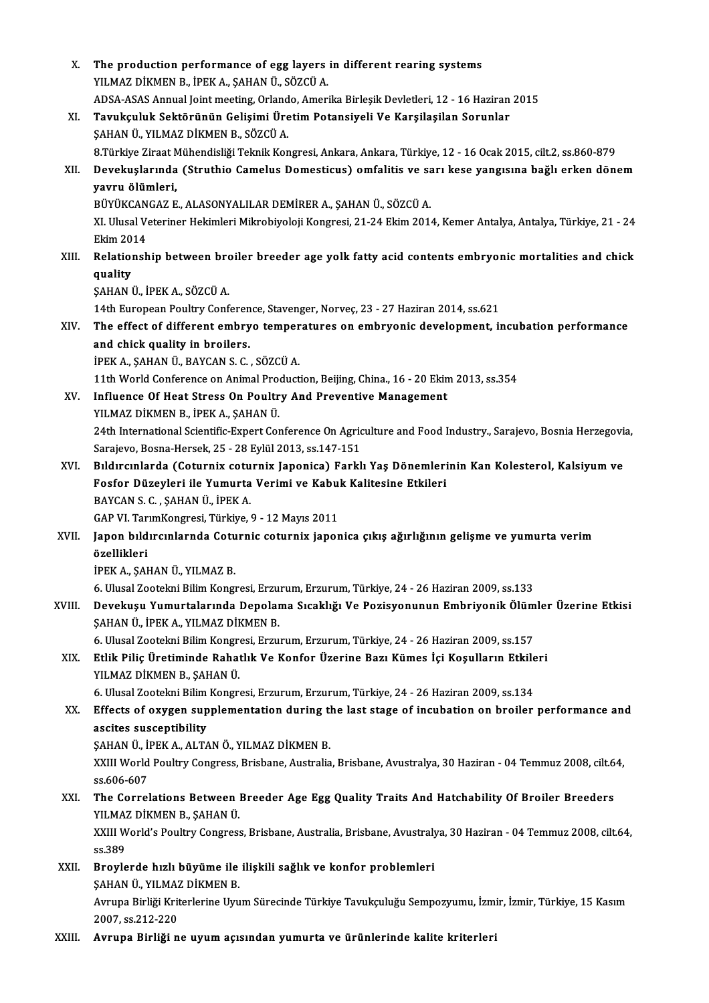| Χ.     | The production performance of egg layers in different rearing systems                                                                            |
|--------|--------------------------------------------------------------------------------------------------------------------------------------------------|
|        | YILMAZ DİKMEN B., İPEK A., ŞAHAN Ü., SÖZCÜ A.                                                                                                    |
|        | ADSA-ASAS Annual Joint meeting, Orlando, Amerika Birleşik Devletleri, 12 - 16 Haziran 2015                                                       |
| XI.    | Tavukçuluk Sektörünün Gelişimi Üretim Potansiyeli Ve Karşilaşilan Sorunlar                                                                       |
|        | ŞAHAN Ü., YILMAZ DİKMEN B., SÖZCÜ A.                                                                                                             |
|        | 8. Türkiye Ziraat Mühendisliği Teknik Kongresi, Ankara, Ankara, Türkiye, 12 - 16 Ocak 2015, cilt.2, ss.860-879                                   |
| XII.   | Devekuşlarında (Struthio Camelus Domesticus) omfalitis ve sarı kese yangısına bağlı erken dönem                                                  |
|        | yavru ölümleri,                                                                                                                                  |
|        | BÜYÜKCANGAZ E., ALASONYALILAR DEMİRER A., ŞAHAN Ü., SÖZCÜ A.                                                                                     |
|        | XI. Ulusal Veteriner Hekimleri Mikrobiyoloji Kongresi, 21-24 Ekim 2014, Kemer Antalya, Antalya, Türkiye, 21 - 24                                 |
|        | <b>Ekim 2014</b>                                                                                                                                 |
| XIII.  | Relationship between broiler breeder age yolk fatty acid contents embryonic mortalities and chick                                                |
|        | quality                                                                                                                                          |
|        | ŞAHAN Ü., İPEK A., SÖZCÜ A.                                                                                                                      |
|        | 14th European Poultry Conference, Stavenger, Norvec, 23 - 27 Haziran 2014, ss 621                                                                |
| XIV.   | The effect of different embryo temperatures on embryonic development, incubation performance                                                     |
|        | and chick quality in broilers.                                                                                                                   |
|        | İPEK A., ŞAHAN Ü., BAYCAN S. C., SÖZCÜ A.                                                                                                        |
|        | 11th World Conference on Animal Production, Beijing, China., 16 - 20 Ekim 2013, ss.354                                                           |
| XV.    | Influence Of Heat Stress On Poultry And Preventive Management                                                                                    |
|        | YILMAZ DİKMEN B., İPEK A., ŞAHAN Ü.                                                                                                              |
|        | 24th International Scientific-Expert Conference On Agriculture and Food Industry., Sarajevo, Bosnia Herzegovia,                                  |
|        | Sarajevo, Bosna-Hersek, 25 - 28 Eylül 2013, ss.147-151                                                                                           |
| XVI.   | Bıldırcınlarda (Coturnix coturnix Japonica) Farklı Yaş Dönemlerinin Kan Kolesterol, Kalsiyum ve                                                  |
|        | Fosfor Düzeyleri ile Yumurta Verimi ve Kabuk Kalitesine Etkileri                                                                                 |
|        | BAYCAN S. C., ŞAHAN Ü., İPEK A.                                                                                                                  |
|        | GAP VI. TarımKongresi, Türkiye, 9 - 12 Mayıs 2011<br>Japon bıldırcınlarnda Coturnic coturnix japonica çıkış ağırlığının gelişme ve yumurta verim |
| XVII.  | özellikleri                                                                                                                                      |
|        | İPEK A., ŞAHAN Ü., YILMAZ B.                                                                                                                     |
|        | 6. Ulusal Zootekni Bilim Kongresi, Erzurum, Erzurum, Türkiye, 24 - 26 Haziran 2009, ss.133                                                       |
| XVIII. | Devekuşu Yumurtalarında Depolama Sıcaklığı Ve Pozisyonunun Embriyonik Ölümler Üzerine Etkisi                                                     |
|        | ŞAHAN Ü., İPEK A., YILMAZ DİKMEN B.                                                                                                              |
|        | 6. Ulusal Zootekni Bilim Kongresi, Erzurum, Erzurum, Türkiye, 24 - 26 Haziran 2009, ss.157                                                       |
| XIX.   | Etlik Piliç Üretiminde Rahatlık Ve Konfor Üzerine Bazı Kümes İçi Koşulların Etkileri                                                             |
|        | YILMAZ DİKMEN B., ŞAHAN Ü.                                                                                                                       |
|        | 6. Ulusal Zootekni Bilim Kongresi, Erzurum, Erzurum, Türkiye, 24 - 26 Haziran 2009, ss.134                                                       |
| XX.    | Effects of oxygen supplementation during the last stage of incubation on broiler performance and                                                 |
|        | ascites susceptibility                                                                                                                           |
|        | ŞAHAN Ü., İPEK A., ALTAN Ö., YILMAZ DİKMEN B.                                                                                                    |
|        | XXIII World Poultry Congress, Brisbane, Australia, Brisbane, Avustralya, 30 Haziran - 04 Temmuz 2008, cilt.64,                                   |
|        | ss 606-607                                                                                                                                       |
| XXI.   | The Correlations Between Breeder Age Egg Quality Traits And Hatchability Of Broiler Breeders                                                     |
|        | YILMAZ DİKMEN B., ŞAHAN Ü.                                                                                                                       |
|        | XXIII World's Poultry Congress, Brisbane, Australia, Brisbane, Avustralya, 30 Haziran - 04 Temmuz 2008, cilt.64,                                 |
|        | ss 389                                                                                                                                           |
| XXII.  | Broylerde hızlı büyüme ile ilişkili sağlık ve konfor problemleri                                                                                 |
|        | ŞAHAN Ü., YILMAZ DİKMEN B.                                                                                                                       |
|        | Avrupa Birliği Kriterlerine Uyum Sürecinde Türkiye Tavukçuluğu Sempozyumu, İzmir, İzmir, Türkiye, 15 Kasım                                       |
|        | 2007, ss 212-220                                                                                                                                 |
| XXIII. | Avrupa Birliği ne uyum açısından yumurta ve ürünlerinde kalite kriterleri                                                                        |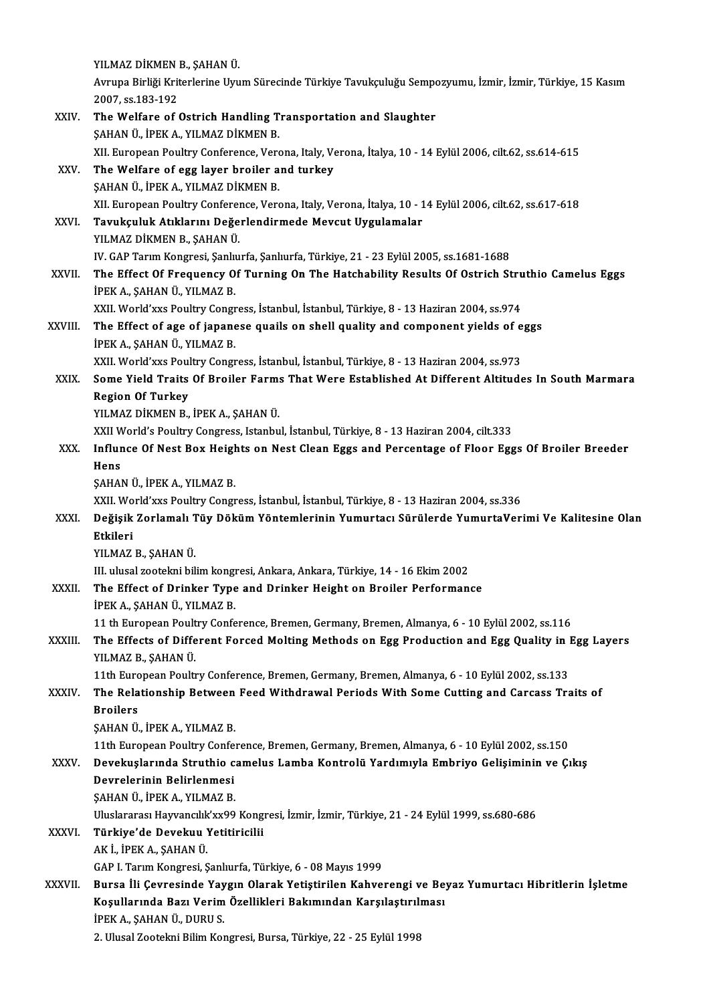|                         | YILMAZ DİKMEN B., ŞAHAN Ü.                                                                                                                                           |
|-------------------------|----------------------------------------------------------------------------------------------------------------------------------------------------------------------|
|                         | Avrupa Birliği Kriterlerine Uyum Sürecinde Türkiye Tavukçuluğu Sempozyumu, İzmir, İzmir, Türkiye, 15 Kasım<br>2007, ss 183-192                                       |
| XXIV.                   | The Welfare of Ostrich Handling Transportation and Slaughter<br>ŞAHAN Ü., İPEK A., YILMAZ DİKMEN B.                                                                  |
|                         | XII. European Poultry Conference, Verona, Italy, Verona, İtalya, 10 - 14 Eylül 2006, cilt.62, ss.614-615                                                             |
| XXV.                    | The Welfare of egg layer broiler and turkey                                                                                                                          |
|                         | ŞAHAN Ü., İPEK A., YILMAZ DİKMEN B.                                                                                                                                  |
| XXVI.                   | XII. European Poultry Conference, Verona, Italy, Verona, İtalya, 10 - 14 Eylül 2006, cilt.62, ss.617-618<br>Tavukçuluk Atıklarını Değerlendirmede Mevcut Uygulamalar |
|                         | YILMAZ DİKMEN B., ŞAHAN Ü.                                                                                                                                           |
|                         | IV. GAP Tarım Kongresi, Şanlıurfa, Şanlıurfa, Türkiye, 21 - 23 Eylül 2005, ss.1681-1688                                                                              |
| XXVII.                  | The Effect Of Frequency Of Turning On The Hatchability Results Of Ostrich Struthio Camelus Eggs                                                                      |
|                         | İPEK A., ŞAHAN Ü., YILMAZ B.                                                                                                                                         |
| XXVIII.                 | XXII. World'xxs Poultry Congress, İstanbul, İstanbul, Türkiye, 8 - 13 Haziran 2004, ss 974                                                                           |
|                         | The Effect of age of japanese quails on shell quality and component yields of eggs<br>İPEK A., ŞAHAN Ü., YILMAZ B.                                                   |
|                         | XXII. World'xxs Poultry Congress, İstanbul, İstanbul, Türkiye, 8 - 13 Haziran 2004, ss.973                                                                           |
| XXIX.                   | Some Yield Traits Of Broiler Farms That Were Established At Different Altitudes In South Marmara                                                                     |
|                         | <b>Region Of Turkey</b>                                                                                                                                              |
|                         | YILMAZ DİKMEN B., İPEK A., ŞAHAN Ü.                                                                                                                                  |
|                         | XXII World's Poultry Congress, Istanbul, İstanbul, Türkiye, 8 - 13 Haziran 2004, cilt.333                                                                            |
| XXX.                    | Influnce Of Nest Box Heights on Nest Clean Eggs and Percentage of Floor Eggs Of Broiler Breeder                                                                      |
|                         | Hens<br>ŞAHAN Ü, İPEK A, YILMAZ B                                                                                                                                    |
|                         | XXII. World'xxs Poultry Congress, İstanbul, İstanbul, Türkiye, 8 - 13 Haziran 2004, ss.336                                                                           |
| XXXI.                   | Değişik Zorlamalı Tüy Döküm Yöntemlerinin Yumurtacı Sürülerde YumurtaVerimi Ve Kalitesine Olan                                                                       |
|                         | Etkileri                                                                                                                                                             |
|                         | YILMAZ B. SAHAN Ü.                                                                                                                                                   |
|                         | III. ulusal zootekni bilim kongresi, Ankara, Ankara, Türkiye, 14 - 16 Ekim 2002                                                                                      |
| XXXII.                  | The Effect of Drinker Type and Drinker Height on Broiler Performance<br>İPEK A., ŞAHAN Ü., YILMAZ B.                                                                 |
|                         | 11 th European Poultry Conference, Bremen, Germany, Bremen, Almanya, 6 - 10 Eylül 2002, ss.116                                                                       |
| XXXIII.                 | The Effects of Different Forced Molting Methods on Egg Production and Egg Quality in Egg Layers                                                                      |
|                         | YILMAZ B., ŞAHAN Ü.                                                                                                                                                  |
|                         | 11th European Poultry Conference, Bremen, Germany, Bremen, Almanya, 6 - 10 Eylül 2002, ss.133                                                                        |
| XXXIV.                  | The Relationship Between Feed Withdrawal Periods With Some Cutting and Carcass Traits of                                                                             |
|                         | <b>Broilers</b><br>ŞAHAN Ü., İPEK A., YILMAZ B.                                                                                                                      |
|                         | 11th European Poultry Conference, Bremen, Germany, Bremen, Almanya, 6 - 10 Eylül 2002, ss.150                                                                        |
| XXXV                    | Devekuşlarında Struthio camelus Lamba Kontrolü Yardımıyla Embriyo Gelişiminin ve Çıkış                                                                               |
|                         | Devrelerinin Belirlenmesi                                                                                                                                            |
|                         | ŞAHAN Ü., İPEK A., YILMAZ B.                                                                                                                                         |
|                         | Uluslararası Hayvancılık'xx99 Kongresi, İzmir, İzmir, Türkiye, 21 - 24 Eylül 1999, ss.680-686                                                                        |
| <b>XXXVI</b><br>XXXVII. | Türkiye'de Devekuu Yetitiricilii                                                                                                                                     |
|                         | AK İ., İPEK A., ŞAHAN Ü.                                                                                                                                             |
|                         | GAP I. Tarım Kongresi, Şanlıurfa, Türkiye, 6 - 08 Mayıs 1999<br>Bursa İli Çevresinde Yaygın Olarak Yetiştirilen Kahverengi ve Beyaz Yumurtacı Hibritlerin İşletme    |
|                         | Koşullarında Bazı Verim Özellikleri Bakımından Karşılaştırılması                                                                                                     |
|                         | İPEK A., ŞAHAN Ü., DURU S.                                                                                                                                           |
|                         | 2. Ulusal Zootekni Bilim Kongresi, Bursa, Türkiye, 22 - 25 Eylül 1998                                                                                                |
|                         |                                                                                                                                                                      |